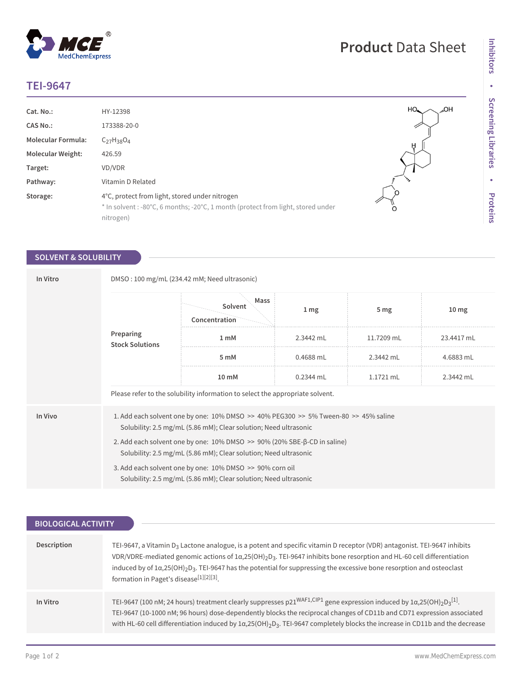## **TEI-9647**

 $^{\circledR}$ 

MedChemExpress

| Cat. No.:                 | HY-12398                                                                                                                                       | HO <sub>n</sub> |
|---------------------------|------------------------------------------------------------------------------------------------------------------------------------------------|-----------------|
| <b>CAS No.:</b>           | 173388-20-0                                                                                                                                    |                 |
| <b>Molecular Formula:</b> | $C_{27}H_{38}O_4$                                                                                                                              | Ĥ               |
| <b>Molecular Weight:</b>  | 426.59                                                                                                                                         |                 |
| Target:                   | VD/VDR                                                                                                                                         |                 |
| Pathway:                  | Vitamin D Related                                                                                                                              |                 |
| Storage:                  | 4°C, protect from light, stored under nitrogen<br>* In solvent: -80°C, 6 months; -20°C, 1 month (protect from light, stored under<br>nitrogen) | O               |

## **SOLVENT & SOLUBILITY**

| In Vitro | DMSO: 100 mg/mL (234.42 mM; Need ultrasonic)                                                                                                                           |                                                                                                                              |                 |            |                  |  |
|----------|------------------------------------------------------------------------------------------------------------------------------------------------------------------------|------------------------------------------------------------------------------------------------------------------------------|-----------------|------------|------------------|--|
|          | Preparing<br><b>Stock Solutions</b>                                                                                                                                    | Mass<br>Solvent<br>Concentration                                                                                             | 1 <sub>mg</sub> | 5 mg       | 10 <sub>mg</sub> |  |
|          |                                                                                                                                                                        | 1 <sub>m</sub> M                                                                                                             | 2.3442 mL       | 11.7209 mL | 23.4417 mL       |  |
|          |                                                                                                                                                                        | 5 mM                                                                                                                         | 0.4688 mL       | 2.3442 mL  | 4.6883 mL        |  |
|          |                                                                                                                                                                        | 10 mM                                                                                                                        | 0.2344 mL       | 1.1721 mL  | 2.3442 mL        |  |
|          | Please refer to the solubility information to select the appropriate solvent.                                                                                          |                                                                                                                              |                 |            |                  |  |
| In Vivo  | 1. Add each solvent one by one: $10\%$ DMSO $\geq$ 40% PEG300 $\geq$ 5% Tween-80 $\geq$ 45% saline<br>Solubility: 2.5 mg/mL (5.86 mM); Clear solution; Need ultrasonic |                                                                                                                              |                 |            |                  |  |
|          | 2. Add each solvent one by one: $10\%$ DMSO $\geq$ 90% (20% SBE- $\beta$ -CD in saline)<br>Solubility: 2.5 mg/mL (5.86 mM); Clear solution; Need ultrasonic            |                                                                                                                              |                 |            |                  |  |
|          |                                                                                                                                                                        | 3. Add each solvent one by one: 10% DMSO >> 90% corn oil<br>Solubility: 2.5 mg/mL (5.86 mM); Clear solution; Need ultrasonic |                 |            |                  |  |

| <b>BIOLOGICAL ACTIVITY</b> |                                                                                                                                                                                                                                                                                                                                                                                                                                                  |  |  |  |
|----------------------------|--------------------------------------------------------------------------------------------------------------------------------------------------------------------------------------------------------------------------------------------------------------------------------------------------------------------------------------------------------------------------------------------------------------------------------------------------|--|--|--|
|                            |                                                                                                                                                                                                                                                                                                                                                                                                                                                  |  |  |  |
| Description                | TEI-9647, a Vitamin D <sub>3</sub> Lactone analogue, is a potent and specific vitamin D receptor (VDR) antagonist. TEI-9647 inhibits<br>VDR/VDRE-mediated genomic actions of $1\alpha,25(OH)_2D_3$ . TEI-9647 inhibits bone resorption and HL-60 cell differentiation<br>induced by of $1\alpha,25(OH)_2D_3$ . TEI-9647 has the potential for suppressing the excessive bone resorption and osteoclast<br>formation in Paget's disease[1][2][3]. |  |  |  |
| In Vitro                   | TEI-9647 (100 nM; 24 hours) treatment clearly suppresses $p21^{WAF1, CIP1}$ gene expression induced by $1\alpha,25(OH)_2D_3[1]$ .<br>TEI-9647 (10-1000 nM; 96 hours) dose-dependently blocks the reciprocal changes of CD11b and CD71 expression associated<br>with HL-60 cell differentiation induced by $1\alpha,25(OH)_2D_3$ . TEI-9647 completely blocks the increase in CD11b and the decrease                                              |  |  |  |

HO.,